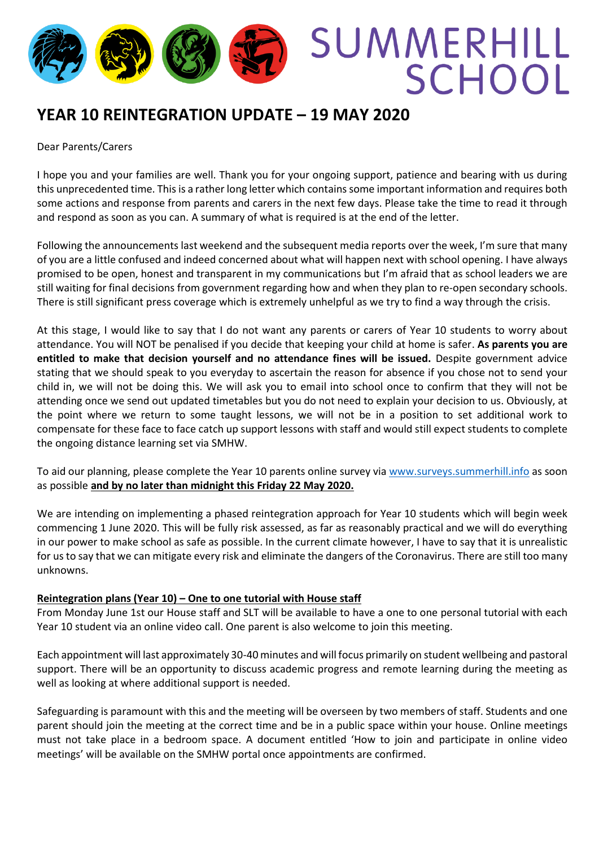

# **YEAR 10 REINTEGRATION UPDATE – 19 MAY 2020**

#### Dear Parents/Carers

I hope you and your families are well. Thank you for your ongoing support, patience and bearing with us during this unprecedented time. This is a rather long letter which contains some important information and requires both some actions and response from parents and carers in the next few days. Please take the time to read it through and respond as soon as you can. A summary of what is required is at the end of the letter.

Following the announcements last weekend and the subsequent media reports over the week, I'm sure that many of you are a little confused and indeed concerned about what will happen next with school opening. I have always promised to be open, honest and transparent in my communications but I'm afraid that as school leaders we are still waiting for final decisions from government regarding how and when they plan to re-open secondary schools. There is still significant press coverage which is extremely unhelpful as we try to find a way through the crisis.

At this stage, I would like to say that I do not want any parents or carers of Year 10 students to worry about attendance. You will NOT be penalised if you decide that keeping your child at home is safer. **As parents you are entitled to make that decision yourself and no attendance fines will be issued.** Despite government advice stating that we should speak to you everyday to ascertain the reason for absence if you chose not to send your child in, we will not be doing this. We will ask you to email into school once to confirm that they will not be attending once we send out updated timetables but you do not need to explain your decision to us. Obviously, at the point where we return to some taught lessons, we will not be in a position to set additional work to compensate for these face to face catch up support lessons with staff and would still expect students to complete the ongoing distance learning set via SMHW.

To aid our planning, please complete the Year 10 parents online survey via [www.surveys.summerhill.info](http://www.surveys.summerhill.info/) as soon as possible **and by no later than midnight this Friday 22 May 2020.**

We are intending on implementing a phased reintegration approach for Year 10 students which will begin week commencing 1 June 2020. This will be fully risk assessed, as far as reasonably practical and we will do everything in our power to make school as safe as possible. In the current climate however, I have to say that it is unrealistic for us to say that we can mitigate every risk and eliminate the dangers of the Coronavirus. There are still too many unknowns.

### **Reintegration plans (Year 10) – One to one tutorial with House staff**

From Monday June 1st our House staff and SLT will be available to have a one to one personal tutorial with each Year 10 student via an online video call. One parent is also welcome to join this meeting.

Each appointment will last approximately 30-40 minutes and will focus primarily on student wellbeing and pastoral support. There will be an opportunity to discuss academic progress and remote learning during the meeting as well as looking at where additional support is needed.

Safeguarding is paramount with this and the meeting will be overseen by two members of staff. Students and one parent should join the meeting at the correct time and be in a public space within your house. Online meetings must not take place in a bedroom space. A document entitled 'How to join and participate in online video meetings' will be available on the SMHW portal once appointments are confirmed.